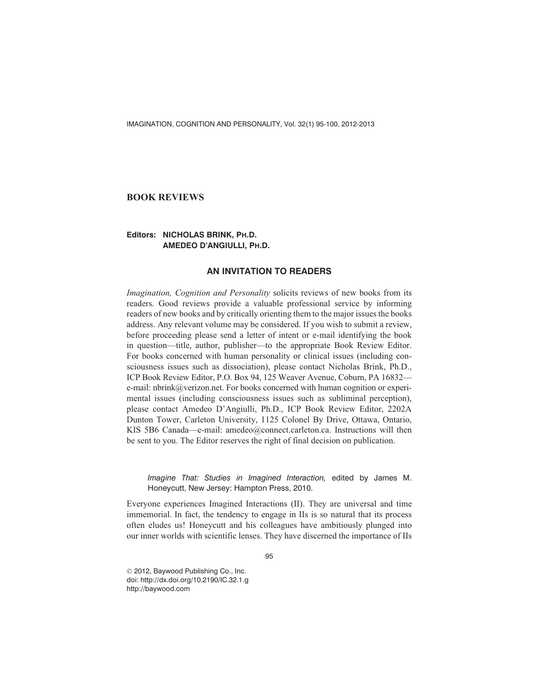# **BOOK REVIEWS**

# **Editors: NICHOLAS BRINK, PH.D. AMEDEO D'ANGIULLI, PH.D.**

# **AN INVITATION TO READERS**

*Imagination, Cognition and Personality* solicits reviews of new books from its readers. Good reviews provide a valuable professional service by informing readers of new books and by critically orienting them to the major issues the books address. Any relevant volume may be considered. If you wish to submit a review, before proceeding please send a letter of intent or e-mail identifying the book in question—title, author, publisher—to the appropriate Book Review Editor. For books concerned with human personality or clinical issues (including consciousness issues such as dissociation), please contact Nicholas Brink, Ph.D., ICP Book Review Editor, P.O. Box 94, 125 Weaver Avenue, Coburn, PA 16832 e-mail: nbrink@verizon.net. For books concerned with human cognition or experimental issues (including consciousness issues such as subliminal perception), please contact Amedeo D'Angiulli, Ph.D., ICP Book Review Editor, 2202A Dunton Tower, Carleton University, 1125 Colonel By Drive, Ottawa, Ontario, KIS 5B6 Canada—e-mail: amedeo@connect.carleton.ca. Instructions will then be sent to you. The Editor reserves the right of final decision on publication.

*Imagine That: Studies in Imagined Interaction,* edited by James M. Honeycutt, New Jersey: Hampton Press, 2010.

Everyone experiences Imagined Interactions (II). They are universal and time immemorial. In fact, the tendency to engage in IIs is so natural that its process often eludes us! Honeycutt and his colleagues have ambitiously plunged into our inner worlds with scientific lenses. They have discerned the importance of IIs

95

© 2012, Baywood Publishing Co., Inc. doi: http://dx.doi.org/10.2190/IC.32.1.g http://baywood.com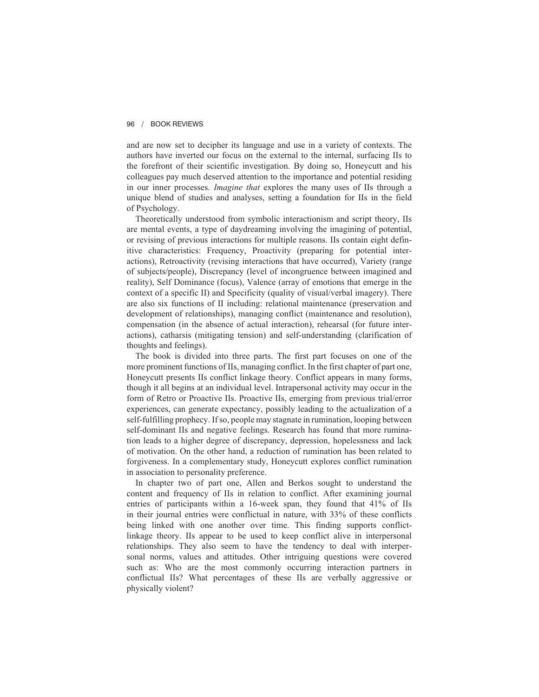## 96 / BOOK REVIEWS

and are now set to decipher its language and use in a variety of contexts. The authors have inverted our focus on the external to the internal, surfacing IIs to the forefront of their scientific investigation. By doing so, Honeycutt and his colleagues pay much deserved attention to the importance and potential residing in our inner processes. *Imagine that* explores the many uses of IIs through a unique blend of studies and analyses, setting a foundation for IIs in the field of Psychology.

Theoretically understood from symbolic interactionism and script theory, IIs are mental events, a type of daydreaming involving the imagining of potential, or revising of previous interactions for multiple reasons. IIs contain eight definitive characteristics: Frequency, Proactivity (preparing for potential interactions), Retroactivity (revising interactions that have occurred), Variety (range of subjects/people), Discrepancy (level of incongruence between imagined and reality), Self Dominance (focus), Valence (array of emotions that emerge in the context of a specific II) and Specificity (quality of visual/verbal imagery). There are also six functions of II including: relational maintenance (preservation and development of relationships), managing conflict (maintenance and resolution), compensation (in the absence of actual interaction), rehearsal (for future interactions), catharsis (mitigating tension) and self-understanding (clarification of thoughts and feelings).

The book is divided into three parts. The first part focuses on one of the more prominent functions of IIs, managing conflict. In the first chapter of part one, Honeycutt presents IIs conflict linkage theory. Conflict appears in many forms, though it all begins at an individual level. Intrapersonal activity may occur in the form of Retro or Proactive IIs. Proactive IIs, emerging from previous trial/error experiences, can generate expectancy, possibly leading to the actualization of a self-fulfilling prophecy. If so, people may stagnate in rumination, looping between self-dominant IIs and negative feelings. Research has found that more rumination leads to a higher degree of discrepancy, depression, hopelessness and lack of motivation. On the other hand, a reduction of rumination has been related to forgiveness. In a complementary study, Honeycutt explores conflict rumination in association to personality preference.

In chapter two of part one, Allen and Berkos sought to understand the content and frequency of IIs in relation to conflict. After examining journal entries of participants within a 16-week span, they found that 41% of IIs in their journal entries were conflictual in nature, with 33% of these conflicts being linked with one another over time. This finding supports conflictlinkage theory. IIs appear to be used to keep conflict alive in interpersonal relationships. They also seem to have the tendency to deal with interpersonal norms, values and attitudes. Other intriguing questions were covered such as: Who are the most commonly occurring interaction partners in conflictual IIs? What percentages of these IIs are verbally aggressive or physically violent?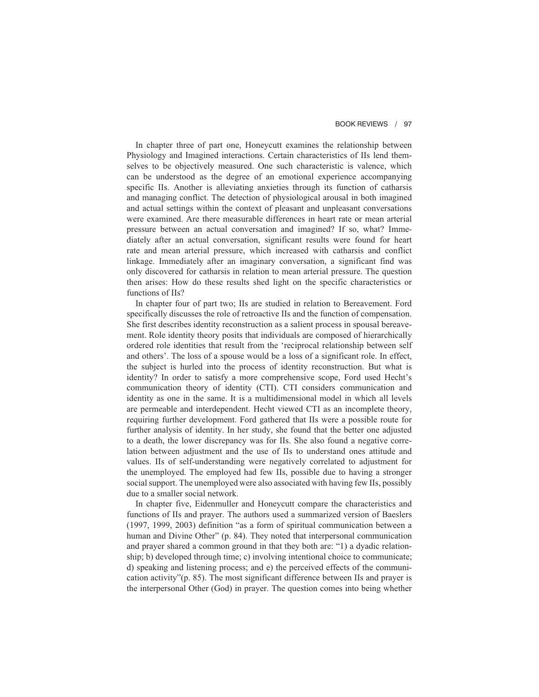#### BOOK REVIEWS / 97

In chapter three of part one, Honeycutt examines the relationship between Physiology and Imagined interactions. Certain characteristics of IIs lend themselves to be objectively measured. One such characteristic is valence, which can be understood as the degree of an emotional experience accompanying specific IIs. Another is alleviating anxieties through its function of catharsis and managing conflict. The detection of physiological arousal in both imagined and actual settings within the context of pleasant and unpleasant conversations were examined. Are there measurable differences in heart rate or mean arterial pressure between an actual conversation and imagined? If so, what? Immediately after an actual conversation, significant results were found for heart rate and mean arterial pressure, which increased with catharsis and conflict linkage. Immediately after an imaginary conversation, a significant find was only discovered for catharsis in relation to mean arterial pressure. The question then arises: How do these results shed light on the specific characteristics or functions of IIs?

In chapter four of part two; IIs are studied in relation to Bereavement. Ford specifically discusses the role of retroactive IIs and the function of compensation. She first describes identity reconstruction as a salient process in spousal bereavement. Role identity theory posits that individuals are composed of hierarchically ordered role identities that result from the 'reciprocal relationship between self and others'. The loss of a spouse would be a loss of a significant role. In effect, the subject is hurled into the process of identity reconstruction. But what is identity? In order to satisfy a more comprehensive scope, Ford used Hecht's communication theory of identity (CTI). CTI considers communication and identity as one in the same. It is a multidimensional model in which all levels are permeable and interdependent. Hecht viewed CTI as an incomplete theory, requiring further development. Ford gathered that IIs were a possible route for further analysis of identity. In her study, she found that the better one adjusted to a death, the lower discrepancy was for IIs. She also found a negative correlation between adjustment and the use of IIs to understand ones attitude and values. IIs of self-understanding were negatively correlated to adjustment for the unemployed. The employed had few IIs, possible due to having a stronger social support. The unemployed were also associated with having few IIs, possibly due to a smaller social network.

In chapter five, Eidenmuller and Honeycutt compare the characteristics and functions of IIs and prayer. The authors used a summarized version of Baeslers (1997, 1999, 2003) definition "as a form of spiritual communication between a human and Divine Other" (p. 84). They noted that interpersonal communication and prayer shared a common ground in that they both are: "1) a dyadic relationship; b) developed through time; c) involving intentional choice to communicate; d) speaking and listening process; and e) the perceived effects of the communication activity"(p. 85). The most significant difference between IIs and prayer is the interpersonal Other (God) in prayer. The question comes into being whether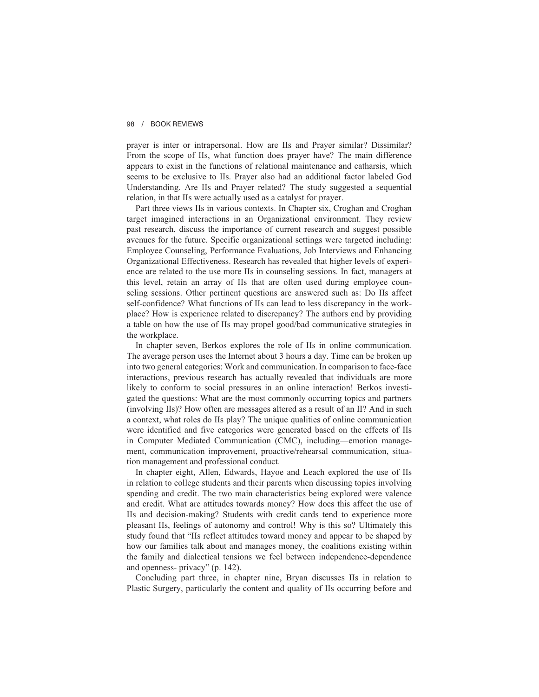#### 98 / BOOK REVIEWS

prayer is inter or intrapersonal. How are IIs and Prayer similar? Dissimilar? From the scope of IIs, what function does prayer have? The main difference appears to exist in the functions of relational maintenance and catharsis, which seems to be exclusive to IIs. Prayer also had an additional factor labeled God Understanding. Are IIs and Prayer related? The study suggested a sequential relation, in that IIs were actually used as a catalyst for prayer.

Part three views IIs in various contexts. In Chapter six, Croghan and Croghan target imagined interactions in an Organizational environment. They review past research, discuss the importance of current research and suggest possible avenues for the future. Specific organizational settings were targeted including: Employee Counseling, Performance Evaluations, Job Interviews and Enhancing Organizational Effectiveness. Research has revealed that higher levels of experience are related to the use more IIs in counseling sessions. In fact, managers at this level, retain an array of IIs that are often used during employee counseling sessions. Other pertinent questions are answered such as: Do IIs affect self-confidence? What functions of IIs can lead to less discrepancy in the workplace? How is experience related to discrepancy? The authors end by providing a table on how the use of IIs may propel good/bad communicative strategies in the workplace.

In chapter seven, Berkos explores the role of IIs in online communication. The average person uses the Internet about 3 hours a day. Time can be broken up into two general categories: Work and communication. In comparison to face-face interactions, previous research has actually revealed that individuals are more likely to conform to social pressures in an online interaction! Berkos investigated the questions: What are the most commonly occurring topics and partners (involving IIs)? How often are messages altered as a result of an II? And in such a context, what roles do IIs play? The unique qualities of online communication were identified and five categories were generated based on the effects of IIs in Computer Mediated Communication (CMC), including—emotion management, communication improvement, proactive/rehearsal communication, situation management and professional conduct.

In chapter eight, Allen, Edwards, Hayoe and Leach explored the use of IIs in relation to college students and their parents when discussing topics involving spending and credit. The two main characteristics being explored were valence and credit. What are attitudes towards money? How does this affect the use of IIs and decision-making? Students with credit cards tend to experience more pleasant IIs, feelings of autonomy and control! Why is this so? Ultimately this study found that "IIs reflect attitudes toward money and appear to be shaped by how our families talk about and manages money, the coalitions existing within the family and dialectical tensions we feel between independence-dependence and openness- privacy" (p. 142).

Concluding part three, in chapter nine, Bryan discusses IIs in relation to Plastic Surgery, particularly the content and quality of IIs occurring before and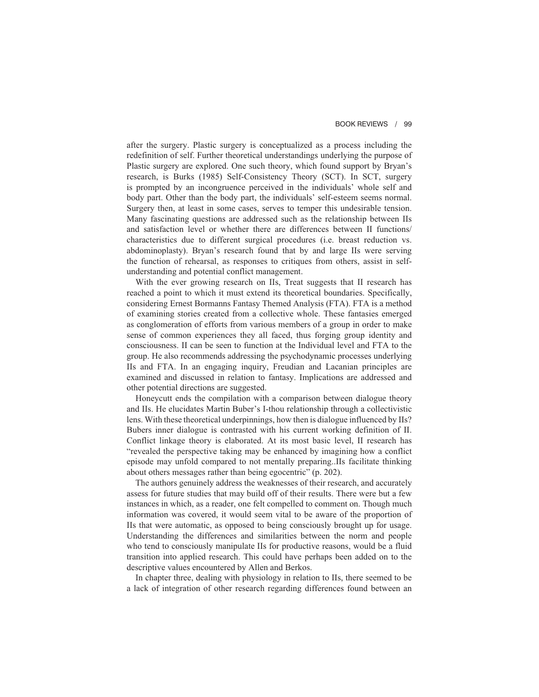after the surgery. Plastic surgery is conceptualized as a process including the redefinition of self. Further theoretical understandings underlying the purpose of Plastic surgery are explored. One such theory, which found support by Bryan's research, is Burks (1985) Self-Consistency Theory (SCT). In SCT, surgery is prompted by an incongruence perceived in the individuals' whole self and body part. Other than the body part, the individuals' self-esteem seems normal. Surgery then, at least in some cases, serves to temper this undesirable tension. Many fascinating questions are addressed such as the relationship between IIs and satisfaction level or whether there are differences between II functions/ characteristics due to different surgical procedures (i.e. breast reduction vs. abdominoplasty). Bryan's research found that by and large IIs were serving the function of rehearsal, as responses to critiques from others, assist in selfunderstanding and potential conflict management.

With the ever growing research on IIs, Treat suggests that II research has reached a point to which it must extend its theoretical boundaries. Specifically, considering Ernest Bormanns Fantasy Themed Analysis (FTA). FTA is a method of examining stories created from a collective whole. These fantasies emerged as conglomeration of efforts from various members of a group in order to make sense of common experiences they all faced, thus forging group identity and consciousness. II can be seen to function at the Individual level and FTA to the group. He also recommends addressing the psychodynamic processes underlying IIs and FTA. In an engaging inquiry, Freudian and Lacanian principles are examined and discussed in relation to fantasy. Implications are addressed and other potential directions are suggested.

Honeycutt ends the compilation with a comparison between dialogue theory and IIs. He elucidates Martin Buber's I-thou relationship through a collectivistic lens. With these theoretical underpinnings, how then is dialogue influenced by IIs? Bubers inner dialogue is contrasted with his current working definition of II. Conflict linkage theory is elaborated. At its most basic level, II research has "revealed the perspective taking may be enhanced by imagining how a conflict episode may unfold compared to not mentally preparing..IIs facilitate thinking about others messages rather than being egocentric" (p. 202).

The authors genuinely address the weaknesses of their research, and accurately assess for future studies that may build off of their results. There were but a few instances in which, as a reader, one felt compelled to comment on. Though much information was covered, it would seem vital to be aware of the proportion of IIs that were automatic, as opposed to being consciously brought up for usage. Understanding the differences and similarities between the norm and people who tend to consciously manipulate IIs for productive reasons, would be a fluid transition into applied research. This could have perhaps been added on to the descriptive values encountered by Allen and Berkos.

In chapter three, dealing with physiology in relation to IIs, there seemed to be a lack of integration of other research regarding differences found between an